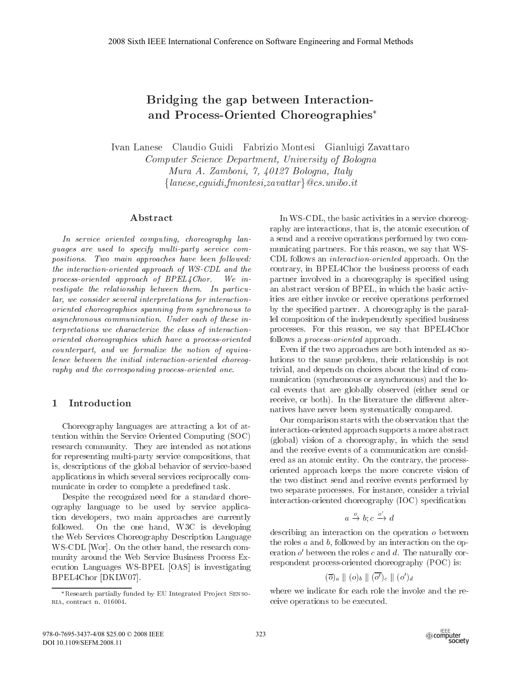# Bridging the gap between Interactionand Process-Oriented Choreographies<sup>\*</sup>

Ivan Lanese Claudio Guidi Fabrizio Montesi Gianluigi Zavattaro Computer Science Department, University of Bologna Mura A. Zamboni, 7, 40127 Bologna, Italy  ${lanese, equidi, fmontesi, zavattar}$  @cs. unibo. it

# Abstract

In service oriented computing, choreography languages are used to specify multi-party service compositions. Two main approaches have been followed: the interaction-oriented approach of WS-CDL and the process-oriented approach of BPEL4Chor. We investigate the relationship between them. In particular, we consider several interpretations for interactionoriented choreographies spanning from synchronous to asynchronous communication. Under each of these interpretations we characterize the class of interactionoriented choreographies which have a process-oriented counterpart, and we formalize the notion of equivalence between the initial interaction-oriented choreography and the corresponding process-oriented one.

## Introduction  $\mathbf 1$

Choreography languages are attracting a lot of attention within the Service Oriented Computing (SOC) research community. They are intended as notations for representing multi-party service compositions, that is, descriptions of the global behavior of service-based applications in which several services reciprocally communicate in order to complete a predefined task.

Despite the recognized need for a standard choreography language to be used by service application developers, two main approaches are currently followed. On the one hand, W3C is developing the Web Services Choreography Description Language WS-CDL [Wor]. On the other hand, the research community around the Web Service Business Process Execution Languages WS-BPEL [OAS] is investigating BPEL4Chor [DKLW07].

In WS-CDL, the basic activities in a service choreography are interactions, that is, the atomic execution of a send and a receive operations performed by two communicating partners. For this reason, we say that WS-CDL follows an *interaction-oriented* approach. On the contrary, in BPEL4Chor the business process of each partner involved in a choreography is specified using an abstract version of BPEL, in which the basic activities are either invoke or receive operations performed by the specified partner. A choreography is the parallel composition of the independently specified business processes. For this reason, we say that BPEL4Chor follows a *process-oriented* approach.

Even if the two approaches are both intended as solutions to the same problem, their relationship is not trivial, and depends on choices about the kind of communication (synchronous or asynchronous) and the local events that are globally observed (either send or receive, or both). In the literature the different alternatives have never been systematically compared.

Our comparison starts with the observation that the interaction-oriented approach supports a more abstract (global) vision of a choreography, in which the send and the receive events of a communication are considered as an atomic entity. On the contrary, the processoriented approach keeps the more concrete vision of the two distinct send and receive events performed by two separate processes. For instance, consider a trivial interaction-oriented choreography (IOC) specification

$$
a \xrightarrow{o} b; c \xrightarrow{o'} a
$$

describing an interaction on the operation  $o$  between the roles  $a$  and  $b$ , followed by an interaction on the operation  $o'$  between the roles c and d. The naturally correspondent process-oriented choreography (POC) is:

$$
(\overline{o})_a \parallel (o)_b \parallel (\overline{o'})_c \parallel (o')_d
$$

where we indicate for each role the invoke and the receive operations to be executed.



<sup>\*</sup>Research partially funded by EU Integrated Project SENSO-RIA, contract n. 016004.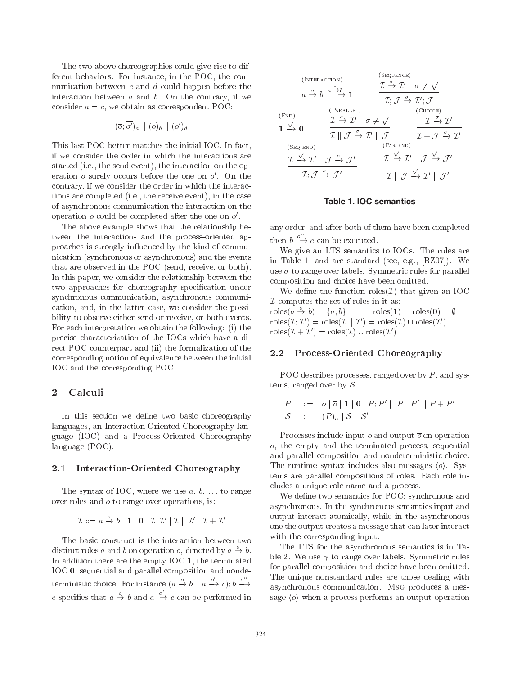The two above choreographies could give rise to different behaviors. For instance, in the POC, the communication between  $c$  and  $d$  could happen before the interaction between  $a$  and  $b$ . On the contrary, if we consider  $a = c$ , we obtain as correspondent POC:

$$
(\overline{o}; \overline{o'})_a \parallel (o)_b \parallel (o')_d
$$

This last POC better matches the initial IOC. In fact, if we consider the order in which the interactions are started (i.e., the send event), the interaction on the operation o surely occurs before the one on  $o'$ . On the contrary, if we consider the order in which the interactions are completed (i.e., the receive event), in the case of asynchronous communication the interaction on the operation  $o$  could be completed after the one on  $o'$ .

The above example shows that the relationship between the interaction- and the process-oriented approaches is strongly influenced by the kind of communication (synchronous or asynchronous) and the events that are observed in the POC (send, receive, or both). In this paper, we consider the relationship between the two approaches for choreography specification under synchronous communication, asynchronous communication, and, in the latter case, we consider the possibility to observe either send or receive, or both events. For each interpretation we obtain the following: (i) the precise characterization of the IOCs which have a direct POC counterpart and (ii) the formalization of the corresponding notion of equivalence between the initial IOC and the corresponding POC.

#### $\overline{2}$ Calculi

In this section we define two basic choreography languages, an Interaction-Oriented Choreography language (IOC) and a Process-Oriented Choreography language  $(POC)$ .

#### $2.1\,$ Interaction-Oriented Choreography

The syntax of IOC, where we use  $a, b, \ldots$  to range over roles and  $o$  to range over operations, is:

$$
\mathcal{I} ::= a \xrightarrow{o} b \mid \mathbf{1} \mid \mathbf{0} \mid \mathcal{I}; \mathcal{I}' \mid \mathcal{I} \parallel \mathcal{I}' \mid \mathcal{I} + \mathcal{I}'
$$

The basic construct is the interaction between two distinct roles a and b on operation o, denoted by  $a \xrightarrow{\nu} b$ . In addition there are the empty IOC 1, the terminated IOC 0, sequential and parallel composition and nondeterministic choice. For instance  $(a \xrightarrow{o} b \parallel a \xrightarrow{o'} c)$ ;  $b \xrightarrow{o''}$ c specifies that  $a \xrightarrow{o} b$  and  $a \xrightarrow{o'} c$  can be performed in

# **Table 1. IOC semantics**

any order, and after both of them have been completed then  $b \stackrel{o''}{\longrightarrow} c$  can be executed.

We give an LTS semantics to IOCs. The rules are in Table 1, and are standard (see, e.g., [BZ07]). We use  $\sigma$  to range over labels. Symmetric rules for parallel composition and choice have been omitted.

We define the function roles  $(\mathcal{I})$  that given an IOC  $\mathcal I$  computes the set of roles in it as: roles $(a \stackrel{o}{\rightarrow} b) = \{a, b\}$  $\mathrm{roles}(1) = \mathrm{roles}(0) = \emptyset$  $\mathrm{roles}(\mathcal{I}; \mathcal{I}') = \mathrm{roles}(\mathcal{I} \parallel \mathcal{I}') = \mathrm{roles}(\mathcal{I}) \cup \mathrm{roles}(\mathcal{I}')$  $\mathrm{roles}(\mathcal{I} + \mathcal{I}') = \mathrm{roles}(\mathcal{I}) \cup \mathrm{roles}(\mathcal{I}')$ 

#### **Process-Oriented Choreography**  $2.2$

POC describes processes, ranged over by  $P$ , and systems, ranged over by  $S$ .

$$
P ::= o | \overline{o} | 1 | 0 | P; P' | P | P' | P + P'
$$
  

$$
S ::= (P)a | S | S'
$$

Processes include input  $o$  and output  $\overline{o}$  on operation  $o$ , the empty and the terminated process, sequential and parallel composition and nondeterministic choice. The runtime syntax includes also messages  $\langle o \rangle$ . Systems are parallel compositions of roles. Each role includes a unique role name and a process.

We define two semantics for POC: synchronous and asynchronous. In the synchronous semantics input and output interact atomically, while in the asynchronous one the output creates a message that can later interact with the corresponding input.

The LTS for the asynchronous semantics is in Table 2. We use  $\gamma$  to range over labels. Symmetric rules for parallel composition and choice have been omitted. The unique nonstandard rules are those dealing with asynchronous communication. MsG produces a message  $\langle o \rangle$  when a process performs an output operation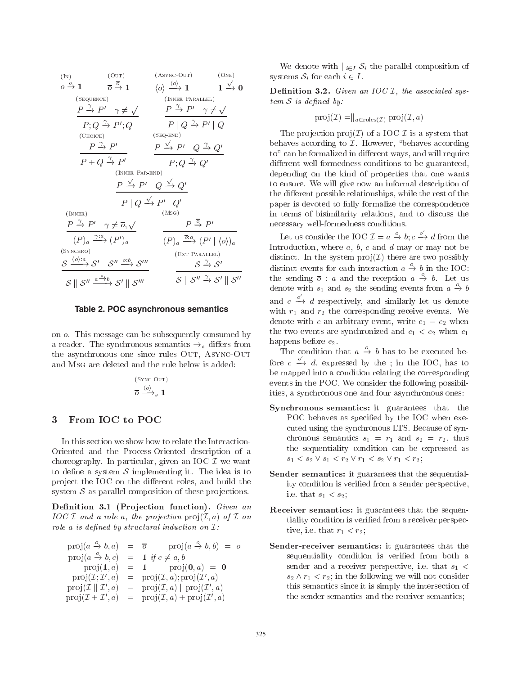(IN)  
\n
$$
0 \xrightarrow{\circ} 1 \qquad \overline{\sigma} \xrightarrow{\overline{\circ}} 1 \qquad \langle 0 \rangle \xrightarrow{\langle 0 \rangle} 1 \qquad 1 \xrightarrow{\sqrt{\circ}} 0
$$
\n(SET  
\n
$$
(\overline{\sigma} \xrightarrow{\gamma} P') \gamma \neq \sqrt{\gamma} \qquad \overline{\gamma} \xrightarrow{\gamma} P' \gamma \neq \sqrt{\gamma} \qquad \overline{\gamma} \xrightarrow{\gamma} P' \gamma \neq \sqrt{\gamma} \qquad \overline{\gamma} \xrightarrow{\gamma} P' \gamma \neq \sqrt{\gamma} \qquad \overline{\gamma} \xrightarrow{\gamma} P' \gamma \neq \sqrt{\gamma} \qquad \overline{\gamma} \xrightarrow{\gamma} P' \xrightarrow{\gamma} P' \xrightarrow{\gamma} \overline{\gamma} \xrightarrow{\gamma} P' \xrightarrow{\gamma} \overline{\gamma} \xrightarrow{\gamma} P' \xrightarrow{\gamma} P' \xrightarrow{\gamma} P' \xrightarrow{\gamma} P' \xrightarrow{\gamma} P' \xrightarrow{\gamma} P' \xrightarrow{\gamma} P' \xrightarrow{\gamma} P' \xrightarrow{\gamma} P' \xrightarrow{\gamma} P' \xrightarrow{\gamma} P' \xrightarrow{\gamma} P' \xrightarrow{\gamma} P' \xrightarrow{\gamma} P' \xrightarrow{\gamma} P' \xrightarrow{\gamma} P' \xrightarrow{\gamma} P' \xrightarrow{\gamma} P' \xrightarrow{\gamma} P' \xrightarrow{\gamma} P' \xrightarrow{\gamma} P' \xrightarrow{\gamma} P' \xrightarrow{\gamma} P' \xrightarrow{\gamma} P' \xrightarrow{\gamma} P' \xrightarrow{\gamma} P' \xrightarrow{\gamma} P' \xrightarrow{\gamma} P' \xrightarrow{\gamma} P' \xrightarrow{\gamma} P' \xrightarrow{\gamma} P' \xrightarrow{\gamma} P' \xrightarrow{\gamma} P' \xrightarrow{\gamma} P' \xrightarrow{\gamma} P' \xrightarrow{\gamma} P' \xrightarrow{\gamma} P' \xrightarrow{\gamma} P' \xrightarrow{\gamma} P' \xrightarrow{\gamma} P' \xrightarrow{\gamma} P' \xrightarrow{\gamma} P' \xrightarrow{\gamma} P' \xrightarrow{\gamma} P' \xrightarrow{\gamma} P' \xrightarrow{\gamma} P' \xrightarrow{\gamma} P' \xrightarrow{\gamma} P' \xrightarrow{\gamma} P' \xrightarrow{\gamma} P' \xrightarrow{\gamma} P' \xrightarrow{\gamma} P' \xrightarrow{\gamma} P' \xrightarrow{\gamma} P' \xrightarrow{\gamma} P' \xrightarrow{\gamma} P' \xrightarrow{\gamma} P' \xrightarrow{\gamma} P' \xrightarrow{\gamma} P' \xrightarrow{\gamma} P' \xrightarrow{\
$$

Table 2. POC asynchronous semantics

on o. This message can be subsequently consumed by a reader. The synchronous semantics  $\rightarrow_s$  differs from the asynchronous one since rules OUT, ASYNC-OUT and MsG are deleted and the rule below is added:

$$
\overset{\text{(SYNC-OUT)}}{\overline{\sigma}} \overset{\langle o \rangle}{\longrightarrow}_s \mathbf{1}
$$

### From IOC to POC 3

In this section we show how to relate the Interaction-Oriented and the Process-Oriented description of a choreography. In particular, given an IOC  $\mathcal I$  we want to define a system  $S$  implementing it. The idea is to project the IOC on the different roles, and build the system  $S$  as parallel composition of these projections.

Definition 3.1 (Projection function). Given an  $IOC I$  and a role a, the projection  $proj(I, a)$  of I on role a is defined by structural induction on  $\mathcal{I}:$ 

|                                               | $\text{proj}(a \overset{\circ}{\rightarrow} b, a) = \overline{\sigma}$ $\text{proj}(a \overset{\circ}{\rightarrow} b, b) = \sigma$ |
|-----------------------------------------------|------------------------------------------------------------------------------------------------------------------------------------|
| $proj(a \xrightarrow{o} b, c)$                | $= 1$ if $c \neq a, b$                                                                                                             |
| proj(1, a)                                    | $= 1$ $\text{proj}(0, a) = 0$                                                                                                      |
| $proj(\mathcal{I};\mathcal{I}',a)$            | $= \text{proj}(\mathcal{I}, a); \text{proj}(\mathcal{I}', a)$                                                                      |
| $proj(\mathcal{I} \parallel \mathcal{I}', a)$ | $= \text{proj}(\mathcal{I}, a)   \text{proj}(\mathcal{I}', a)$                                                                     |
| $proj(\mathcal{I} + \mathcal{I}', a)$         | $= \text{proj}(\mathcal{I}, a) + \text{proj}(\mathcal{I}', a)$                                                                     |

We denote with  $\|_{i \in I} S_i$  the parallel composition of systems  $S_i$  for each  $i \in I$ .

**Definition 3.2.** Given an IOC  $I$ , the associated sys $tem S$  is defined by:

$$
\text{proj}(\mathcal{I}) = ||_{a \in \text{roles}(\mathcal{I})} \text{proj}(\mathcal{I}, a)
$$

The projection  $proj(\mathcal{I})$  of a IOC  $\mathcal{I}$  is a system that behaves according to  $I$ . However, "behaves according to" can be formalized in different ways, and will require different well-formedness conditions to be guaranteed, depending on the kind of properties that one wants to ensure. We will give now an informal description of the different possible relationships, while the rest of the paper is devoted to fully formalize the correspondence in terms of bisimilarity relations, and to discuss the necessary well-formedness conditions.

Let us consider the IOC  $\mathcal{I} = a \xrightarrow{o} b$ ;  $c \xrightarrow{o'} d$  from the Introduction, where  $a, b, c$  and  $d$  may or may not be distinct. In the system  $proj(\mathcal{I})$  there are two possibly distinct events for each interaction  $a \xrightarrow{o} b$  in the IOC: the sending  $\overline{o}$ : *a* and the reception  $a \stackrel{o}{\rightarrow} b$ . Let us denote with  $s_1$  and  $s_2$  the sending events from  $a \stackrel{o}{\rightarrow} b$ and  $c \xrightarrow{\circ} d$  respectively, and similarly let us denote with  $r_1$  and  $r_2$  the corresponding receive events. We denote with e an arbitrary event, write  $e_1 = e_2$  when the two events are synchronized and  $e_1 < e_2$  when  $e_1$ happens before  $e_2$ .

The condition that  $a \stackrel{o}{\rightarrow} b$  has to be executed before  $c \xrightarrow{o'} d$ , expressed by the ; in the IOC, has to be mapped into a condition relating the corresponding events in the POC. We consider the following possibilities, a synchronous one and four asynchronous ones:

- **Synchronous semantics:** it guarantees that the POC behaves as specified by the IOC when executed using the synchronous LTS. Because of synchronous semantics  $s_1 = r_1$  and  $s_2 = r_2$ , thus the sequentiality condition can be expressed as  $s_1 < s_2 \vee s_1 < r_2 \vee r_1 < s_2 \vee r_1 < r_2$ ;
- **Sender semantics:** it guarantees that the sequentiality condition is verified from a sender perspective, i.e. that  $s_1 < s_2$ ;
- Receiver semantics: it guarantees that the sequentiality condition is verified from a receiver perspective, i.e. that  $r_1 < r_2$ ;
- Sender-receiver semantics: it guarantees that the sequentiality condition is verified from both a sender and a receiver perspective, i.e. that  $s_1$  <  $s_2 \wedge r_1 \langle r_2;$  in the following we will not consider this semantics since it is simply the intersection of the sender semantics and the receiver semantics;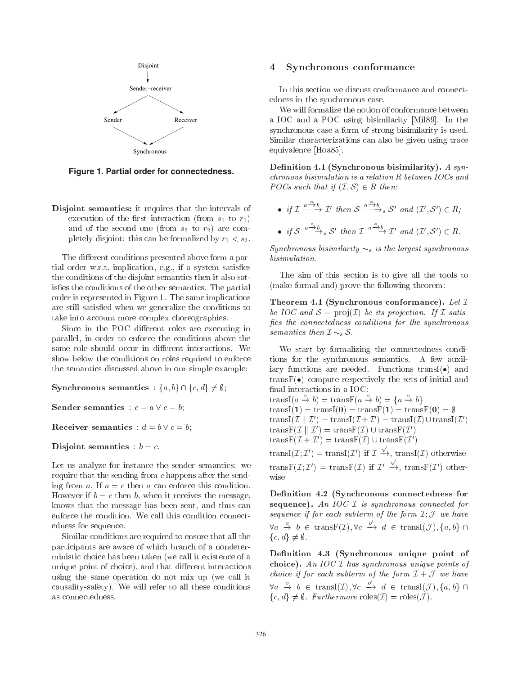

Figure 1. Partial order for connectedness.

Disjoint semantics: it requires that the intervals of execution of the first interaction (from  $s_1$  to  $r_1$ ) and of the second one (from  $s_2$  to  $r_2$ ) are completely disjoint: this can be formalized by  $r_1 < s_2$ .

The different conditions presented above form a partial order w.r.t. implication, e.g., if a system satisfies the conditions of the disjoint semantics then it also satis fies the conditions of the other semantics. The partial order is represented in Figure 1. The same implications are still satisfied when we generalize the conditions to take into account more complex choreographies.

Since in the POC different roles are executing in parallel, in order to enforce the conditions above the same role should occur in different interactions. We show below the conditions on roles required to enforce the semantics discussed above in our simple example.

**Synchronous semantics** :  $\{a, b\} \cap \{c, d\} \neq \emptyset$ ;

**Sender semantics** :  $c = a \lor c = b$ ;

**Receiver semantics** :  $d = b \vee c = b$ ;

Disjoint semantics :  $b = c$ .

Let us analyze for instance the sender semantics: we require that the sending from  $c$  happens after the sending from a. If  $a = c$  then a can enforce this condition. However if  $b = c$  then b, when it receives the message, knows that the message has been sent, and thus can enforce the condition. We call this condition connectedness for sequence.

Similar conditions are required to ensure that all the participants are aware of which branch of a nondeterministic choice has been taken (we call it existence of a unique point of choice), and that different interactions using the same operation do not mix up (we call it causality-safety). We will refer to all these conditions as connectedness.

### Synchronous conformance  $\overline{4}$

In this section we discuss conformance and connectedness in the synchronous case.

We will formalize the notion of conformance between a IOC and a POC using bisimilarity [Mil89]. In the synchronous case a form of strong bisimilarity is used. Similar characterizations can also be given using trace equivalence [Hoa85].

Definition 4.1 (Synchronous bisimilarity). A syn $chromous\ bisimulation\ is\ a\ relation\ R\ between\ IOCs\ and$ POCs such that if  $(\mathcal{I}, \mathcal{S}) \in R$  then:

• if  $\mathcal{I} \xrightarrow{a \xrightarrow{0} b} \mathcal{I}'$  then  $S \xrightarrow{a \xrightarrow{0} b} s S'$  and  $(\mathcal{I}', S') \in R$ ; • if  $S \xrightarrow{a \xrightarrow{\circ} b} S'$  then  $\mathcal{I} \xrightarrow{a \xrightarrow{\circ} b} \mathcal{I}'$  and  $(\mathcal{I}', S') \in R$ .

Synchronous bisimilarity  $\sim_s$  is the largest synchronous  $bisimulation.$ 

The aim of this section is to give all the tools to (make formal and) prove the following theorem:

Theorem 4.1 (Synchronous conformance). Let  $\mathcal I$ be IOC and  $\mathcal{S} = \text{proj}(\mathcal{I})$  be its projection. If  $\mathcal{I}$  satisfies the connectedness conditions for the synchronous semantics then  $\mathcal{I} \sim_s \mathcal{S}$ .

We start by formalizing the connectedness conditions for the synchronous semantics. A few auxiliary functions are needed. Functions transI( $\bullet$ ) and  $transF(\bullet)$  compute respectively the sets of initial and final interactions in a IOC: transI( $a \xrightarrow{o} b$ ) = transF( $a \xrightarrow{o} b$ ) = { $a \xrightarrow{o} b$ }

 $transI(1) = transI(0) = transF(1) = transF(0) = \emptyset$ transI(*I*  $|\mathcal{I}'|$   $\mathcal{I}'$ ) = transI(*I* + *I'*) = transI(*I*)  $\cup$  transI(*I'*) trans $F(\mathcal{I} \parallel \mathcal{I}') = \text{trans} F(\mathcal{I}) \cup \text{trans} F(\mathcal{I}')$ 

trans $F(\mathcal{I} + \mathcal{I}') =$ trans $F(\mathcal{I}) \cup$ trans $F(\mathcal{I}')$ 

transI(*I*; *I'*) = transI(*I'*) if  $I \xrightarrow{\sqrt{}}$ , transI(*I*) otherwise trans $F(\mathcal{I};\mathcal{I}')$  = trans $F(\mathcal{I})$  if  $\mathcal{I}' \xrightarrow{\sqrt{ }}$ , trans $F(\mathcal{I}')$  otherwise

Definition 4.2 (Synchronous connectedness for sequence). An IOC  $I$  is synchronous connected for sequence if for each subterm of the form  $I: \mathcal{J}$  we have  $\forall a \stackrel{o}{\rightarrow} b \in \text{transF}(\mathcal{I}), \forall c \stackrel{o'}{\rightarrow} d \in \text{transI}(\mathcal{J}), \{a, b\} \cap$  ${c, d} \neq \emptyset.$ 

Definition 4.3 (Synchronous unique point of choice). An IOC  $I$  has synchronous unique points of *choice if for each subterm of the form*  $\mathcal{I} + \mathcal{J}$  *we have*  $\forall a \stackrel{o}{\rightarrow} b \in \text{transI}(\mathcal{I}), \forall c \stackrel{o'}{\rightarrow} d \in \text{transI}(\mathcal{J}), \{a, b\} \cap$  $\{c, d\} \neq \emptyset$ . Furthermore  $\text{roles}(\mathcal{I}) = \text{roles}(\mathcal{J})$ .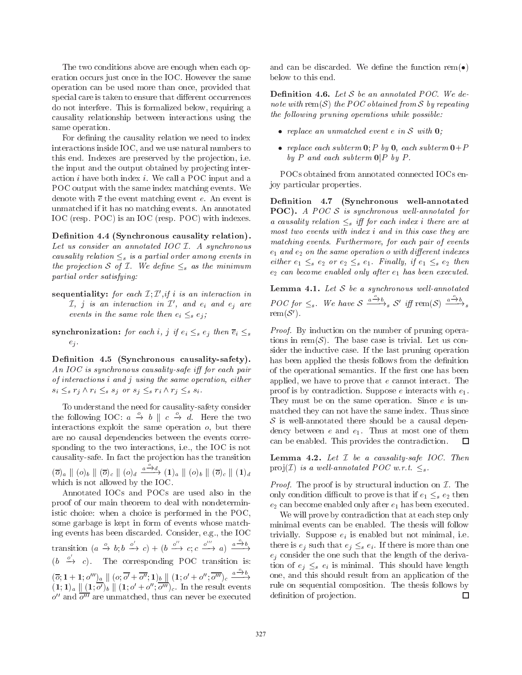The two conditions above are enough when each operation occurs just once in the IOC. However the same operation can be used more than once, provided that special care is taken to ensure that different occurrences do not interfere. This is formalized below, requiring a causality relationship between interactions using the same operation.

For defining the causality relation we need to index interactions inside IOC, and we use natural numbers to this end. Indexes are preserved by the projection, i.e. the input and the output obtained by projecting interaction  $i$  have both index  $i$ . We call a POC input and a POC output with the same index matching events. We denote with  $\bar{e}$  the event matching event e. An event is unmatched if it has no matching events. An annotated IOC (resp. POC) is an IOC (resp. POC) with indexes.

Definition 4.4 (Synchronous causality relation). Let us consider an annotated IOC  $I$ . A synchronous causality relation  $\leq_s$  is a partial order among events in the projection S of  $I$ . We define  $\leq_s$  as the minimum partial order satisfying:

- sequentiality: for each  $\mathcal{I}; \mathcal{I}',$  if i is an interaction in  $\mathcal{I},$  j is an interaction in  $\mathcal{I}',$  and  $e_i$  and  $e_j$  are events in the same role then  $e_i \leq_s e_j$ ;
- synchronization: for each i, j if  $e_i \leq_s e_j$  then  $\overline{e}_i \leq_s$  $e_j$ .

Definition 4.5 (Synchronous causality-safety). An IOC is synchronous causality-safe iff for each pair of interactions i and j using the same operation, either  $s_i \leq_s r_j \wedge r_i \leq_s s_j$  or  $s_j \leq_s r_i \wedge r_j \leq_s s_i$ .

To understand the need for causality-safety consider the following IOC:  $a \stackrel{o}{\rightarrow} b \parallel c \stackrel{o}{\rightarrow} d$ . Here the two interactions exploit the same operation  $o$ , but there are no causal dependencies between the events corresponding to the two interactions, i.e., the IOC is not causality-safe. In fact the projection has the transition

 $(\overline{o})_a \parallel (o)_b \parallel (\overline{o})_c \parallel (o)_d \xrightarrow{a \xrightarrow{o} d} (\mathbf{1})_a \parallel (o)_b \parallel (\overline{o})_c \parallel (\mathbf{1})_d$ which is not allowed by the IOC.

Annotated IOCs and POCs are used also in the proof of our main theorem to deal with nondeterministic choice: when a choice is performed in the POC, some garbage is kept in form of events whose matching events has been discarded. Consider, e.g., the IOC transition  $(a \stackrel{o}{\to} b; b \stackrel{o'}{\to} c) + (b \stackrel{o''}{\to} c; c \stackrel{o'''}{\to} a) \stackrel{a \stackrel{o}{\to} b}{\to}$  $(b \xrightarrow{o'} c)$ . The corresponding POC transition is:  $(\overline{o}; 1+1; o''')_a \parallel (o; \overline{o'} + \overline{o''}; 1)_b \parallel (1; o' + o''; \overline{o'''})_c \xrightarrow{a \xrightarrow{\circ} b} (1; 1)_a \parallel (1; \overline{o'})_b \parallel (1; o' + o''; \overline{o'''})_c$ . In the result events  $o''$  and  $\overline{o'''}$  are unmatched, thus can never be executed and can be discarded. We define the function rem $(•)$ below to this end.

**Definition 4.6.** Let  $S$  be an annotated POC. We denote with rem(S) the POC obtained from S by repeating the following pruning operations while possible:

- $\bullet$  replace an unmatched event e in S with  $\mathbf{0}$ ;
- replace each subterm  $0$ ; P by 0, each subterm  $0+P$ by P and each subterm  $0|P$  by P.

POCs obtained from annotated connected IOCs enjoy particular properties.

Definition 4.7 (Synchronous well-annotated **POC**). A POC  $S$  is synchronous well-annotated for a causality relation  $\leq_s$  iff for each index i there are at most two events with index i and in this case they are matching events. Furthermore, for each pair of events  $e_1$  and  $e_2$  on the same operation o with different indexes either  $e_1 \leq_s e_2$  or  $e_2 \leq_s e_1$ . Finally, if  $e_1 \leq_s e_2$  then  $e_2$  can become enabled only after  $e_1$  has been executed.

**Lemma 4.1.** Let  $S$  be a synchronous well-annotated POC for  $\leq_s$ . We have  $S \xrightarrow{a^2+b} S'$  iff rem(S)  $\xrightarrow{a^2+b} s$  $rem(S')$ .

*Proof.* By induction on the number of pruning operations in rem( $S$ ). The base case is trivial. Let us consider the inductive case. If the last pruning operation has been applied the thesis follows from the definition of the operational semantics. If the first one has been applied, we have to prove that  $e$  cannot interact. The proof is by contradiction. Suppose e interacts with  $e_1$ . They must be on the same operation. Since  $e$  is unmatched they can not have the same index. Thus since  $S$  is well-annotated there should be a causal dependency between  $e$  and  $e_1$ . Thus at most one of them can be enabled. This provides the contradiction. □

**Lemma 4.2.** Let  $I$  be a causality-safe  $IOC$ . Then proj $(\mathcal{I})$  is a well-annotated POC w.r.t.  $\leq_s$ .

*Proof.* The proof is by structural induction on  $\mathcal{I}$ . The only condition difficult to prove is that if  $e_1 \leq_s e_2$  then  $e_2$  can become enabled only after  $e_1$  has been executed.

We will prove by contradiction that at each step only minimal events can be enabled. The thesis will follow trivially. Suppose  $e_i$  is enabled but not minimal, i.e. there is  $e_i$  such that  $e_i \leq_s e_i$ . If there is more than one  $e_i$  consider the one such that the length of the derivation of  $e_i \leq_s e_i$  is minimal. This should have length one, and this should result from an application of the rule on sequential composition. The thesis follows by  $\Box$ definition of projection.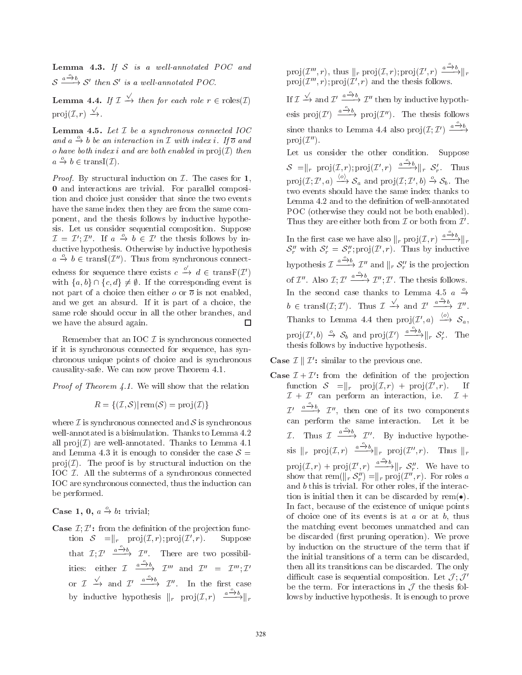**Lemma 4.3.** If  $S$  is a well-annotated POC and  $S \xrightarrow{a \xrightarrow{\circ} b} S'$  then S' is a well-annotated POC.

**Lemma 4.4.** If  $\mathcal{I} \xrightarrow{\sqrt{}}$  then for each role  $r \in \text{roles}(\mathcal{I})$  $proj(\mathcal{I}, r) \xrightarrow{\sqrt{ }}$ .

**Lemma 4.5.** Let  $I$  be a synchronous connected  $IOC$ and  $a \xrightarrow{o} b$  be an interaction in  $\mathcal I$  with index i. If  $\overline{o}$  and o have both index i and are both enabled in  $proj(\mathcal{I})$  then  $a \xrightarrow{o} b \in \text{transI}(\mathcal{I}).$ 

*Proof.* By structural induction on  $I$ . The cases for 1, **0** and interactions are trivial. For parallel composition and choice just consider that since the two events have the same index then they are from the same component, and the thesis follows by inductive hypothesis. Let us consider sequential composition. Suppose  $\mathcal{I} = \mathcal{I}'$ ;  $\mathcal{I}''$ . If  $a \stackrel{o}{\rightarrow} b \in \mathcal{I}'$  the thesis follows by inductive hypothesis. Otherwise by inductive hypothesis  $a \stackrel{o}{\rightarrow} b \in \text{transI}(\mathcal{I}'')$ . Thus from synchronous connectedness for sequence there exists  $c \xrightarrow{o'} d \in \text{transF}(\mathcal{I}')$ with  $\{a, b\} \cap \{c, d\} \neq \emptyset$ . If the corresponding event is not part of a choice then either  $\sigma$  or  $\overline{\sigma}$  is not enabled, and we get an absurd. If it is part of a choice, the same role should occur in all the other branches, and we have the absurd again.  $\Box$ 

Remember that an IOC  $\mathcal I$  is synchronous connected if it is synchronous connected for sequence, has synchronous unique points of choice and is synchronous causality-safe. We can now prove Theorem 4.1.

*Proof of Theorem 4.1.* We will show that the relation

$$
R = \{ (\mathcal{I}, \mathcal{S}) | \operatorname{rem}(\mathcal{S}) = \operatorname{proj}(\mathcal{I}) \}
$$

where  $\mathcal I$  is synchronous connected and  $\mathcal S$  is synchronous well-annotated is a bisimulation. Thanks to Lemma 4.2 all  $\text{proj}(\mathcal{I})$  are well-annotated. Thanks to Lemma 4.1 and Lemma 4.3 it is enough to consider the case  $S =$  $proj(\mathcal{I})$ . The proof is by structural induction on the IOC  $I$ . All the subterms of a synchronous connected IOC are synchronous connected, thus the induction can be performed.

**Case 1, 0,**  $a \xrightarrow{o} b$ : trivial;

**Case**  $\mathcal{I}; \mathcal{I}'$ : from the definition of the projection function  $S = ||r \text{ proj}(I, r); \text{proj}(I', r).$ Suppose that  $\mathcal{I}; \mathcal{I}' \xrightarrow{a \xrightarrow{o} b} \mathcal{I}''$ . There are two possibilities: either  $\mathcal{I} \xrightarrow{a \xrightarrow{\circ} b} \mathcal{I}'''$  and  $\mathcal{I}'' = \mathcal{I}''' : \mathcal{I}'$ or  $\mathcal{I} \xrightarrow{\sqrt{ }}$  and  $\mathcal{I}' \xrightarrow{a \xrightarrow{0} b} \mathcal{I}''$ . In the first case by inductive hypothesis  $\|r\|_{r}$  proj $(\mathcal{I}, r) \xrightarrow{a \xrightarrow{0} b} \|r\|_{r}$ 

 $proj(\mathcal{I}''', r)$ , thus  $||_r proj(\mathcal{I}, r); proj(\mathcal{I}', r) \xrightarrow{a \rightarrow b} ||_r$ proj $(\mathcal{I}'''', r)$ ; proj $(\mathcal{I}', r)$  and the thesis follows. If  $\mathcal{I} \xrightarrow{\sqrt{ }}$  and  $\mathcal{I}' \xrightarrow{a^2b} \mathcal{I}''$  then by inductive hypothesis proj $(\mathcal{I}') \xrightarrow{a \xrightarrow{\circ} b}$  proj $(\mathcal{I}'')$ . The thesis follows since thanks to Lemma 4.4 also  $proj(\mathcal{I};\mathcal{I}') \xrightarrow{a \xrightarrow{o} b}$  $proj(\mathcal{I}'').$ 

Let us consider the other condition. Suppose  $S = ||_r \text{proj}(\mathcal{I}, r); \text{proj}(\mathcal{I}', r) \xrightarrow{a \xrightarrow{\alpha} b} ||_r S'_r.$  Thus proj $(\mathcal{I};\mathcal{I}',a) \xrightarrow{\langle o \rangle} \mathcal{S}_a$  and proj $(\mathcal{I};\mathcal{I}',b) \xrightarrow{o} \mathcal{S}_b$ . The two events should have the same index thanks to Lemma 4.2 and to the definition of well-annotated POC (otherwise they could not be both enabled). Thus they are either both from  $\mathcal I$  or both from  $\mathcal I'$ . In the first case we have also  $||_r \text{ proj}(\mathcal{I}, r) \xrightarrow{a \xrightarrow{\alpha} b} ||_r$ <br> $S_r''$  with  $S_r' = S_r''$ ; proj $(\mathcal{I}', r)$ . Thus by inductive hypothesis  $\mathcal{I} \xrightarrow{a \xrightarrow{o} b} \mathcal{I}''$  and  $||_r \mathcal{S}'''_r$  is the projection of  $\mathcal{I}''$ . Also  $\mathcal{I}:\mathcal{I}' \xrightarrow{a \xrightarrow{\circ} b} \mathcal{I}'':\mathcal{I}'$ . The thesis follows. In the second case thanks to Lemma 4.5 a  $\rightarrow$  $b \in \text{transI}(\mathcal{I}; \mathcal{I}').$  Thus  $\mathcal{I} \xrightarrow{\sqrt{ }}$  and  $\mathcal{I}' \xrightarrow{a \xrightarrow{o} b} \mathcal{I}''$ . Thanks to Lemma 4.4 then  $\text{proj}(\mathcal{I}',a) \stackrel{\langle o \rangle}{\longrightarrow} \mathcal{S}_a$ ,  $\text{proj}(\mathcal{I}',b) \stackrel{o}{\rightarrow} \mathcal{S}_b$  and  $\text{proj}(\mathcal{I}') \xrightarrow{a \stackrel{o}{\rightarrow} b} ||_r \mathcal{S}'_r$ . The thesis follows by inductive hypothesis.

**Case**  $\mathcal{I} \parallel \mathcal{I}'$ : similar to the previous one.

**Case**  $\mathcal{I} + \mathcal{I}'$ : from the definition of the projection function  $S = ||r \text{ proj}(I,r) + \text{proj}(I',r).$ If  $\mathcal{I} + \mathcal{I}'$  can perform an interaction, i.e.  $\mathcal{I} +$  $\mathcal{I}' \xrightarrow{a \xrightarrow{\alpha} b} \mathcal{I}'',$  then one of its two components<br>can perform the same interaction. Let it be *I*. Thus  $\mathcal{I} \xrightarrow{a \xrightarrow{\circ} b} \mathcal{I}''$ . By inductive hypothesis  $\|r\|_{r}$  proj $(\mathcal{I}, r) \xrightarrow{a \xrightarrow{\circ} b} \|r\|_{r}$  proj $(\mathcal{I}'', r)$ . Thus  $\|r\|_{r}$  $proj(\mathcal{I}, r) + proj(\mathcal{I}', r) \xrightarrow{a \xrightarrow{\phi} b} ||r \mathcal{S}''_r$ . We have to show that rem( $||_r S''_r|| = ||_r \operatorname{proj}(\mathcal{I}'', r)$ . For roles a and b this is trivial. For other roles, if the interaction is initial then it can be discarded by rem( $\bullet$ ). In fact, because of the existence of unique points of choice one of its events is at  $a$  or at  $b$ , thus the matching event becomes unmatched and can be discarded (first pruning operation). We prove by induction on the structure of the term that if the initial transitions of a term can be discarded, then all its transitions can be discarded. The only difficult case is sequential composition. Let  $\mathcal{J}$ ;  $\mathcal{J}'$ be the term. For interactions in  $\mathcal J$  the thesis follows by inductive hypothesis. It is enough to prove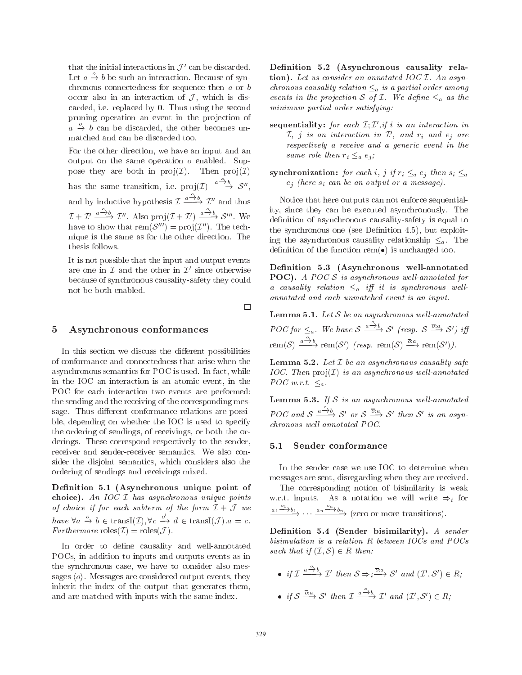that the initial interactions in  $\mathcal{J}'$  can be discarded. Let  $a \xrightarrow{o} b$  be such an interaction. Because of synchronous connectedness for sequence then  $a$  or  $b$ occur also in an interaction of  $J$ , which is discarded, i.e. replaced by  $0$ . Thus using the second pruning operation an event in the projection of  $a \stackrel{o}{\rightarrow} b$  can be discarded, the other becomes unmatched and can be discarded too.

For the other direction, we have an input and an output on the same operation  $o$  enabled. Suppose they are both in  $proj(\mathcal{I})$ . Then  $proj(\mathcal{I})$ has the same transition, i.e.  $proj(\mathcal{I}) \xrightarrow{a \xrightarrow{o} b} \mathcal{S}''$ , and by inductive hypothesis  $\mathcal{I} \xrightarrow{a \xrightarrow{\circ} b} \mathcal{I}''$  and thus  $\mathcal{I} + \mathcal{I}' \xrightarrow{a^{-\delta}b} \mathcal{I}''$ . Also proj $(\mathcal{I} + \mathcal{I}') \xrightarrow{a^{-\delta}b} \mathcal{S}'''$ . We have to show that  $\text{rem}(\mathcal{S}''') = \text{proj}(\mathcal{I}'')$ . The technique is the same as for the other direction. The thesis follows.

It is not possible that the input and output events are one in  $\mathcal I$  and the other in  $\mathcal I'$  since otherwise because of synchronous causality-safety they could not be both enabled.

### Asynchronous conformances 5

In this section we discuss the different possibilities of conformance and connectedness that arise when the asynchronous semantics for POC is used. In fact, while in the IOC an interaction is an atomic event, in the POC for each interaction two events are performed: the sending and the receiving of the corresponding message. Thus different conformance relations are possible, depending on whether the IOC is used to specify the ordering of sendings, of receivings, or both the orderings. These correspond respectively to the sender, receiver and sender-receiver semantics. We also consider the disjoint semantics, which considers also the ordering of sendings and receivings mixed.

Definition 5.1 (Asynchronous unique point of choice). An IOC  $I$  has asynchronous unique points of choice if for each subterm of the form  $\mathcal{I} + \mathcal{J}$  we have  $\forall a \stackrel{o}{\to} b \in \text{transI}(\mathcal{I}), \forall c \stackrel{o'}{\to} d \in \text{transI}(\mathcal{J}).a = c.$ <br>Furthermore  $\text{roles}(\mathcal{I}) = \text{roles}(\mathcal{J}).$ 

In order to define causality and well-annotated POCs, in addition to inputs and outputs events as in the synchronous case, we have to consider also messages  $\langle o \rangle$ . Messages are considered output events, they inherit the index of the output that generates them, and are matched with inputs with the same index.

Definition 5.2 (Asynchronous causality relation). Let us consider an annotated IOC  $I$ . An asyn*chronous causality relation*  $\leq_a$  *is a partial order among* events in the projection S of I. We define  $\leq_a$  as the minimum partial order satisfying:

- sequentiality: for each  $\mathcal{I}; \mathcal{I}', if$  i is an interaction in  $\mathcal{I},$  j is an interaction in  $\mathcal{I}',$  and  $r_i$  and  $e_j$  are respectively a receive and a generic event in the same role then  $r_i \leq_a e_i$ ;
- synchronization: for each i, j if  $r_i \leq_a e_j$  then  $s_i \leq_a$  $e_j$  (here  $s_i$  can be an output or a message).

Notice that here outputs can not enforce sequentiality, since they can be executed asynchronously. The definition of asynchronous causality-safety is equal to the synchronous one (see Definition 4.5), but exploiting the asynchronous causality relationship  $\leq_a$ . The definition of the function rem( $\bullet$ ) is unchanged too.

Definition 5.3 (Asynchronous well-annotated **POC**). A POC  $S$  is asynchronous well-annotated for  $\label{eq:1} a\ \ \textit{causality}\ \ \textit{relation}\ \ \textcolor{red}{\leq_{a}}\ \ \textit{iff}\ \ \textit{it}\ \ \textit{is} \ \ \textit{synchronous}\ \ \textit{well-}$ annotated and each unmatched event is an input.

**Lemma 5.1.** Let  $S$  be an asynchronous well-annotated POC for  $\leq_a$ . We have  $S \xrightarrow{a \xrightarrow{\circ} b} S'$  (resp.  $S \xrightarrow{\overline{o}:a} S'$ ) iff rem(S)  $\xrightarrow{a \xrightarrow{o} b}$  rem(S') (resp. rem(S)  $\xrightarrow{\overline{c}:a}$  rem(S')).

**Lemma 5.2.** Let  $I$  be an asynchronous causality-safe  $IOC.$  Then  $proj(\mathcal{I})$  is an asynchronous well-annotated  $POC w.r.t. \leq_a$ .

**Lemma 5.3.** If  $S$  is an asynchronous well-annotated POC and  $S \xrightarrow{a \xrightarrow{\alpha} b} S'$  or  $S \xrightarrow{\overline{\sigma}:a} S'$  then  $S'$  is an asyn $chromous$  well-annotated POC.

#### Sender conformance  $5.1$

In the sender case we use IOC to determine when messages are sent, disregarding when they are received.

The corresponding notion of bisimilarity is weak w.r.t. inputs. As a notation we will write  $\Rightarrow$  for  $\underbrace{a_1 \xrightarrow{o_1} b_1}$ , ...  $\underbrace{a_n \xrightarrow{o_n} b_n}$  (zero or more transitions).

Definition 5.4 (Sender bisimilarity). A sender bisimulation is a relation R between IOCs and POCs such that if  $(\mathcal{I}, \mathcal{S}) \in R$  then:

• if  $\mathcal{I} \xrightarrow{a \xrightarrow{b} b} \mathcal{I}'$  then  $S \Rightarrow_{i} \overline{\xrightarrow{c}_{i} a} S'$  and  $(\mathcal{I}', S') \in R$ . • if  $S \stackrel{\overline{\sigma}:a}{\longrightarrow} S'$  then  $\mathcal{I} \xrightarrow{a \stackrel{\circ}{\longrightarrow} b} \mathcal{I}'$  and  $(\mathcal{I}', S') \in R$ .

 $\Box$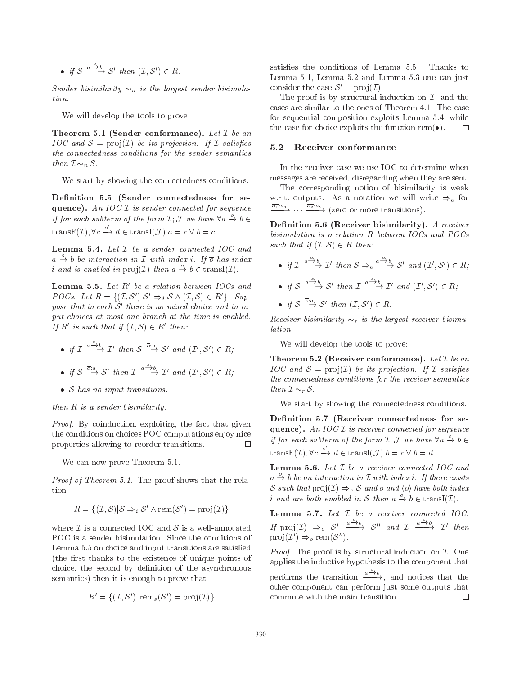• if  $S \xrightarrow{a \xrightarrow{o} b} S'$  then  $(\mathcal{I}, S') \in R$ .

Sender bisimilarity  $\sim_n$  is the largest sender bisimulation.

We will develop the tools to prove:

Theorem 5.1 (Sender conformance). Let  $I$  be an  $IOC$  and  $S = \text{proj}(\mathcal{I})$  be its projection. If  $\mathcal I$  satisfies the connectedness conditions for the sender semantics then  $\mathcal{I} \sim_n \mathcal{S}$ .

We start by showing the connectedness conditions.

Definition 5.5 (Sender connectedness for sequence). An IOC  $I$  is sender connected for sequence if for each subterm of the form  $\mathcal{I}; \mathcal{J}$  we have  $\forall a \stackrel{o}{\to} b \in$ trans $F(\mathcal{I}), \forall c \stackrel{o'}{\rightarrow} d \in \text{trans} I(\mathcal{I}), a = c \vee b = c.$ 

Lemma 5.4. Let  $I$  be a sender connected  $IOC$  and  $a \stackrel{o}{\rightarrow} b$  be interaction in  $\mathcal I$  with index i. If  $\overline{o}$  has index *i* and is enabled in  $proj(\mathcal{I})$  then  $a \xrightarrow{o} b \in transI(\mathcal{I})$ .

Lemma 5.5. Let  $R'$  be a relation between IOCs and *POCs.* Let  $R = \{(\mathcal{I}, \mathcal{S}') | \mathcal{S}' \Rightarrow_{i} \mathcal{S} \wedge (\mathcal{I}, \mathcal{S}) \in R'\}.$  Suppose that in each  $S'$  there is no mixed choice and in input choices at most one branch at the time is enabled. If R' is such that if  $(\mathcal{I}, \mathcal{S}) \in R'$  then:

- if  $\mathcal{I} \xrightarrow{a \xrightarrow{\alpha} b} \mathcal{I}'$  then  $S \xrightarrow{\overline{\sigma}:a} S'$  and  $(\mathcal{I}', S') \in R$ .
- if  $S \stackrel{\overline{\sigma}:a}{\longrightarrow} S'$  then  $\mathcal{I} \xrightarrow{a \stackrel{\circ}{\longrightarrow} b} \mathcal{I}'$  and  $(\mathcal{I}', S') \in R$ :
- $\bullet$  S has no input transitions.

then  $R$  is a sender bisimilarity.

*Proof.* By coinduction, exploiting the fact that given the conditions on choices POC computations enjoy nice properties allowing to reorder transitions.  $\Box$ 

We can now prove Theorem 5.1.

*Proof of Theorem 5.1.* The proof shows that the relation

$$
R = \{ (\mathcal{I}, \mathcal{S}) | \mathcal{S} \Rightarrow_i \mathcal{S}' \land \text{rem}(\mathcal{S}') = \text{proj}(\mathcal{I}) \}
$$

where  $\mathcal I$  is a connected IOC and  $\mathcal S$  is a well-annotated POC is a sender bisimulation. Since the conditions of Lemma 5.5 on choice and input transitions are satisfied (the first thanks to the existence of unique points of choice, the second by definition of the asynchronous semantics) then it is enough to prove that

$$
R' = \{(\mathcal{I}, \mathcal{S}') | \operatorname{rem}_s(\mathcal{S}') = \operatorname{proj}(\mathcal{I})\}
$$

satisfies the conditions of Lemma 5.5. Thanks to Lemma 5.1, Lemma 5.2 and Lemma 5.3 one can just consider the case  $S' = \text{proj}(\mathcal{I}).$ 

The proof is by structural induction on  $\mathcal{I}$ , and the cases are similar to the ones of Theorem 4.1. The case for sequential composition exploits Lemma 5.4, while the case for choice exploits the function rem( $\bullet$ ). □

#### $5.2$ Receiver conformance

In the receiver case we use IOC to determine when messages are received, disregarding when they are sent.

The corresponding notion of bisimilarity is weak w.r.t. outputs. As a notation we will write  $\Rightarrow_o$  for  $\xrightarrow{\overline{o_1}:a_1} \cdots \xrightarrow{\overline{o_2}:a_2}$  (zero or more transitions).

Definition 5.6 (Receiver bisimilarity). A receiver bisimulation is a relation  $R$  between  $IOCs$  and  $POCs$ such that if  $(\mathcal{I}, \mathcal{S}) \in R$  then:

- if  $\mathcal{I} \xrightarrow{a \xrightarrow{\circ} b} \mathcal{I}'$  then  $S \Rightarrow_{\circ} \xrightarrow{a \xrightarrow{\circ} b} S'$  and  $(\mathcal{I}', S') \in R$ ;
- if  $S \xrightarrow{a \xrightarrow{b} b} S'$  then  $\mathcal{I} \xrightarrow{a \xrightarrow{b} b} \mathcal{I}'$  and  $(\mathcal{I}', S') \in R$ .
- if  $S \stackrel{\overline{\sigma}:a}{\longrightarrow} S'$  then  $(\mathcal{I}, S') \in R$ .

*Receiver bisimilarity*  $\sim_r$  *is the largest receiver bisimu*lation.

We will develop the tools to prove:

**Theorem 5.2 (Receiver conformance).** Let  $\mathcal I$  be an  $IOC$  and  $S = \text{proj}(\mathcal{I})$  be its projection. If  $\mathcal I$  satisfies the connectedness conditions for the receiver semantics then  $\mathcal{I} \sim_r \mathcal{S}$ .

We start by showing the connectedness conditions.

Definition 5.7 (Receiver connectedness for sequence). An  $IOCI$  is receiver connected for sequence if for each subterm of the form  $\mathcal{I}$ ;  $\mathcal{J}$  we have  $\forall a \stackrel{o}{\rightarrow} b \in$ trans $F(\mathcal{I}), \forall c \stackrel{o'}{\rightarrow} d \in transI(\mathcal{J}), b = c \vee b = d.$ 

**Lemma 5.6.** Let  $I$  be a receiver connected IOC and  $a \stackrel{o}{\rightarrow} b$  be an interaction in  $\mathcal I$  with index i. If there exists S such that  $proj(\mathcal{I}) \Rightarrow_{o} S$  and o and  $\langle o \rangle$  have both index *i* and are both enabled in S then  $a \xrightarrow{o} b \in transI(\mathcal{I})$ .

Lemma 5.7. Let  $I$  be a receiver connected IOC. If  $proj(\mathcal{I}) \Rightarrow_o S' \xrightarrow{a \xrightarrow{o} b} S''$  and  $\mathcal{I} \xrightarrow{a \xrightarrow{o} b} \mathcal{I}'$  then  $proj(\mathcal{I}') \Rightarrow_o \text{rem}(\mathcal{S}'').$ 

*Proof.* The proof is by structural induction on  $I$ . One applies the inductive hypothesis to the component that performs the transition  $\frac{a \xrightarrow{\circ} b}{\rightarrow}$ , and notices that the other component can perform just some outputs that commute with the main transition. □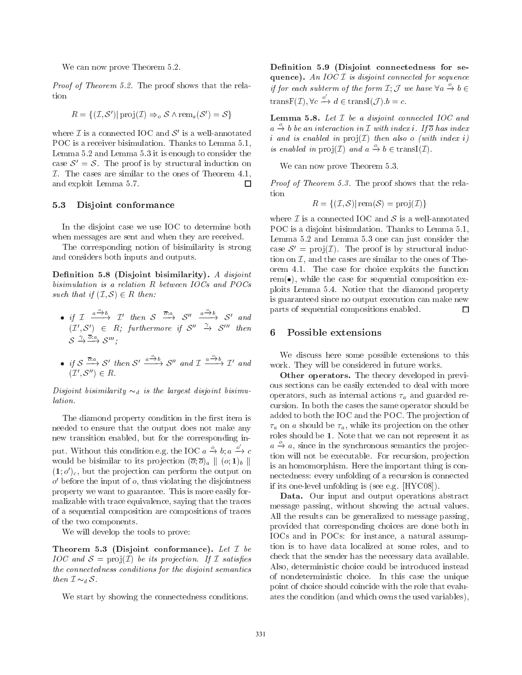We can now prove Theorem 5.2.

*Proof of Theorem 5.2.* The proof shows that the relation

$$
R = \{ (\mathcal{I}, \mathcal{S}') | \operatorname{proj}(\mathcal{I}) \Rightarrow_{o} \mathcal{S} \land \operatorname{rem}_{s}(\mathcal{S}') = \mathcal{S} \}
$$

where  $\mathcal I$  is a connected IOC and  $\mathcal S'$  is a well-annotated POC is a receiver bisimulation. Thanks to Lemma 5.1, Lemma 5.2 and Lemma 5.3 it is enough to consider the case  $S' = S$ . The proof is by structural induction on  $I$ . The cases are similar to the ones of Theorem 4.1, and exploit Lemma 5.7. П

#### $5.3$ Disjoint conformance

In the disjoint case we use IOC to determine both when messages are sent and when they are received.

The corresponding notion of bisimilarity is strong and considers both inputs and outputs.

Definition 5.8 (Disjoint bisimilarity). A disjoint bisimulation is a relation  $R$  between  $IOCs$  and  $POCs$ such that if  $(\mathcal{I}, \mathcal{S}) \in R$  then:

• if  $\mathcal{I} \xrightarrow{a \xrightarrow{\alpha} b} \mathcal{I}'$  then  $S \xrightarrow{\overline{\sigma}:a} S'' \xrightarrow{a \xrightarrow{\alpha} b} S'$  and  $(\mathcal{I}', S') \in R$ ; furthermore if  $S'' \xrightarrow{\gamma} S'''$  then  $S \stackrel{\gamma}{\rightarrow} \stackrel{\overline{\circ}:a}{\longrightarrow} S'''$ :

• if 
$$
S \xrightarrow{\overline{\sigma}:a} S'
$$
 then  $S' \xrightarrow{a \xrightarrow{\circ} b} S''$  and  $\mathcal{I} \xrightarrow{a \xrightarrow{\circ} b} \mathcal{I}'$  and  $(\mathcal{I}', S'') \in R$ .

Disjoint bisimilarity  $\sim_d$  is the largest disjoint bisimulation.

The diamond property condition in the first item is needed to ensure that the output does not make any new transition enabled, but for the corresponding input. Without this condition e.g. the IOC  $a \xrightarrow{o} b$ ;  $a \xrightarrow{o'} c$ would be bisimilar to its projection  $(\overline{o}; \overline{o})_a \parallel (o; \mathbf{1})_b \parallel$  $(1, o<sup>'</sup>)<sub>c</sub>$ , but the projection can perform the output on  $o'$  before the input of  $o$ , thus violating the disjointness property we want to guarantee. This is more easily formalizable with trace equivalence, saying that the traces of a sequential composition are compositions of traces of the two components.

We will develop the tools to prove:

Theorem 5.3 (Disjoint conformance). Let  $I$  be *IOC* and  $S = \text{proj}(\mathcal{I})$  be its projection. If  $\mathcal{I}$  satisfies the connectedness conditions for the disjoint semantics then  $\mathcal{I} \sim_d \mathcal{S}$ .

We start by showing the connectedness conditions.

Definition 5.9 (Disjoint connectedness for sequence). An IOC  $I$  is disjoint connected for sequence if for each subterm of the form  $\mathcal{I}$ ;  $\mathcal{J}$  we have  $\forall a \stackrel{o}{\rightarrow} b \in$ trans $F(\mathcal{I}), \forall c \stackrel{o'}{\rightarrow} d \in transI(\mathcal{J}).b = c.$ 

**Lemma 5.8.** Let  $I$  be a disjoint connected IOC and  $a \xrightarrow{\circ} b$  be an interaction in  $\mathcal I$  with index i. If  $\overline{o}$  has index i and is enabled in  $proj(\mathcal{I})$  then also o (with index i) is enabled in  $proj(\mathcal{I})$  and  $a \xrightarrow{o} b \in transI(\mathcal{I})$ .

We can now prove Theorem 5.3.

*Proof of Theorem 5.3.* The proof shows that the relation

$$
R = \{ (\mathcal{I}, \mathcal{S}) | \text{rem}(\mathcal{S}) = \text{proj}(\mathcal{I}) \}
$$

where  $\mathcal I$  is a connected IOC and  $\mathcal S$  is a well-annotated POC is a disjoint bisimulation. Thanks to Lemma 5.1, Lemma 5.2 and Lemma 5.3 one can just consider the case  $S' = \text{proj}(\mathcal{I})$ . The proof is by structural induction on  $\mathcal{I}$ , and the cases are similar to the ones of Theorem 4.1. The case for choice exploits the function  $rem(\bullet)$ , while the case for sequential composition exploits Lemma 5.4. Notice that the diamond property is guaranteed since no output execution can make new parts of sequential compositions enabled.  $\Box$ 

### Possible extensions 6

We discuss here some possible extensions to this work. They will be considered in future works.

Other operators. The theory developed in previous sections can be easily extended to deal with more operators, such as internal actions  $\tau_a$  and guarded recursion. In both the cases the same operator should be added to both the IOC and the POC. The projection of  $\tau_a$  on a should be  $\tau_a$ , while its projection on the other roles should be 1. Note that we can not represent it as  $a \stackrel{\circ}{\rightarrow} a$ , since in the synchronous semantics the projection will not be executable. For recursion, projection is an homomorphism. Here the important thing is connectedness: every unfolding of a recursion is connected if its one-level unfolding is (see e.g. [HYC08]).

Data. Our input and output operations abstract message passing, without showing the actual values. All the results can be generalized to message passing, provided that corresponding choices are done both in IOCs and in POCs: for instance, a natural assumption is to have data localized at some roles, and to check that the sender has the necessary data available. Also, deterministic choice could be introduced instead of nondeterministic choice. In this case the unique point of choice should coincide with the role that evaluates the condition (and which owns the used variables),